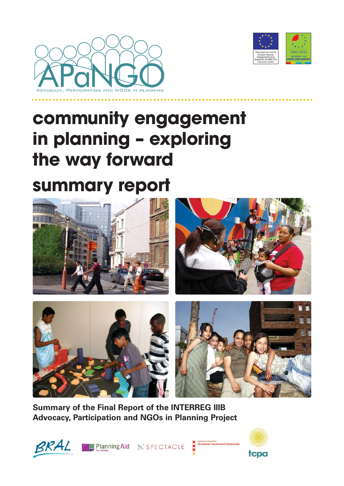



# **community engagement in planning – exploring the way forward**

# **summary report**



**Summary of the Final Report of the INTERREG IIIB Advocacy, Participation and NGOs in Planning Project**





Planning Aid SPECTACLE



tcpa

Geneente Ansterdam<br>Stadsdeel Geuzenveld-Sloter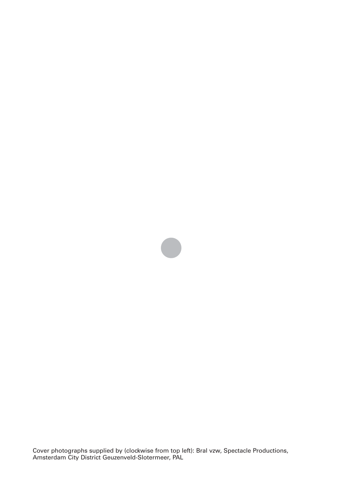

Cover photographs supplied by (clockwise from top left): Bral vzw, Spectacle Productions, Amsterdam City District Geuzenveld-Slotermeer, PAL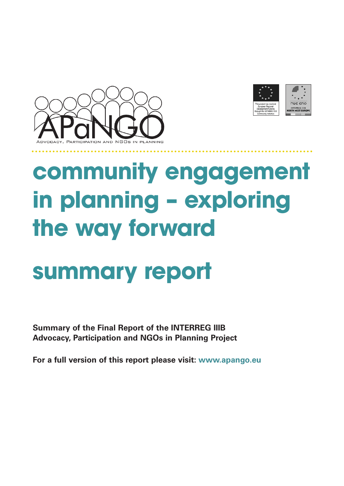



# **community engagement in planning – exploring the way forward**

# **summary report**

**Summary of the Final Report of the INTERREG IIIB Advocacy, Participation and NGOs in Planning Project**

**For a full version of this report please visit: www.apango.eu**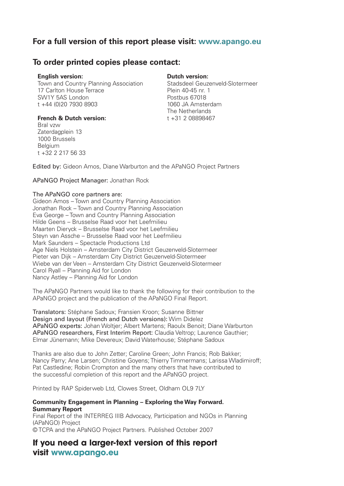## **For a full version of this report please visit: www.apango.eu**

### **To order printed copies please contact:**

#### **English version:**

Town and Country Planning Association 17 Carlton House Terrace SW1Y 5AS London t +44 (0)20 7930 8903

#### **French & Dutch version:**

Bral vzw Zaterdagplein 13 1000 Brussels **Belgium** t +32 2 217 56 33

#### **Dutch version:**

Stadsdeel Geuzenveld-Slotermeer Plein 40-45 nr. 1 Postbus 67018 1060 JA Amsterdam The Netherlands t +31 2 08898467

Edited by: Gideon Amos, Diane Warburton and the APaNGO Project Partners

APaNGO Project Manager: Jonathan Rock

#### The APaNGO core partners are:

Gideon Amos – Town and Country Planning Association Jonathan Rock – Town and Country Planning Association Eva George – Town and Country Planning Association Hilde Geens – Brusselse Raad voor het Leefmilieu Maarten Dieryck – Brusselse Raad voor het Leefmilieu Steyn van Assche – Brusselse Raad voor het Leefmilieu Mark Saunders – Spectacle Productions Ltd Age Niels Holstein – Amsterdam City District Geuzenveld-Slotermeer Pieter van Dijk – Amsterdam City District Geuzenveld-Slotermeer Wiebe van der Veen – Amsterdam City District Geuzenveld-Slotermeer Carol Ryall – Planning Aid for London Nancy Astley – Planning Aid for London

The APaNGO Partners would like to thank the following for their contribution to the APaNGO project and the publication of the APaNGO Final Report.

Translators: Stéphane Sadoux; Fransien Kroon; Susanne Bittner Design and layout (French and Dutch versions): Wim Didelez APaNGO experts: Johan Woltjer; Albert Martens; Raoulx Benoit; Diane Warburton APaNGO researchers, First Interim Report: Claudia Veltrop; Laurence Gauthier; Elmar Jünemann; Mike Devereux; David Waterhouse; Stéphane Sadoux

Thanks are also due to John Zetter; Caroline Green; John Francis; Rob Bakker; Nancy Parry; Ane Larsen; Christine Goyens; Thierry Timmermans; Larissa Wladimiroff; Pat Castledine; Robin Crompton and the many others that have contributed to the successful completion of this report and the APaNGO project.

Printed by RAP Spiderweb Ltd, Clowes Street, Oldham OL9 7LY

#### **Community Engagement in Planning – Exploring the Way Forward. Summary Report**

Final Report of the INTERREG IIIB Advocacy, Participation and NGOs in Planning (APaNGO) Project © TCPA and the APaNGO Project Partners. Published October 2007

**If you need a larger-text version of this report visit www.apango.eu**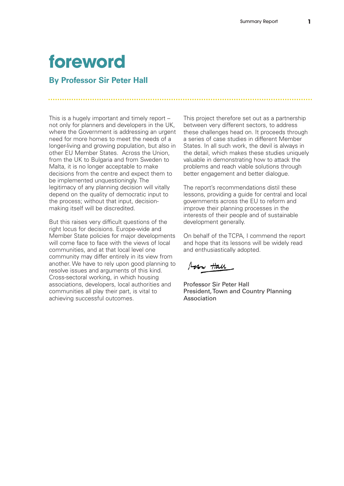# **foreword**

### **By Professor Sir Peter Hall**

This is a hugely important and timely report – not only for planners and developers in the UK, where the Government is addressing an urgent need for more homes to meet the needs of a longer-living and growing population, but also in other EU Member States. Across the Union, from the UK to Bulgaria and from Sweden to Malta, it is no longer acceptable to make decisions from the centre and expect them to be implemented unquestioningly. The legitimacy of any planning decision will vitally depend on the quality of democratic input to the process; without that input, decisionmaking itself will be discredited.

But this raises very difficult questions of the right locus for decisions. Europe-wide and Member State policies for major developments will come face to face with the views of local communities, and at that local level one community may differ entirely in its view from another. We have to rely upon good planning to resolve issues and arguments of this kind. Cross-sectoral working, in which housing associations, developers, local authorities and communities all play their part, is vital to achieving successful outcomes.

This project therefore set out as a partnership between very different sectors, to address these challenges head on. It proceeds through a series of case studies in different Member States. In all such work, the devil is always in the detail, which makes these studies uniquely valuable in demonstrating how to attack the problems and reach viable solutions through better engagement and better dialogue.

The report's recommendations distil these lessons, providing a guide for central and local governments across the EU to reform and improve their planning processes in the interests of their people and of sustainable development generally.

On behalf of the TCPA, I commend the report and hope that its lessons will be widely read and enthusiastically adopted.

Pesar Hall

Professor Sir Peter Hall President, Town and Country Planning Association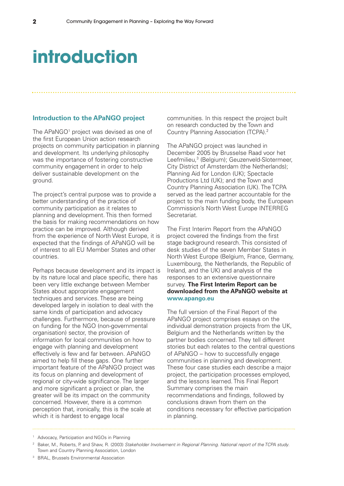# **introduction**

#### **Introduction to the APaNGO project**

The  $APaNGO<sup>1</sup>$  project was devised as one of the first European Union action research projects on community participation in planning and development. Its underlying philosophy was the importance of fostering constructive community engagement in order to help deliver sustainable development on the ground.

The project's central purpose was to provide a better understanding of the practice of community participation as it relates to planning and development. This then formed the basis for making recommendations on how practice can be improved. Although derived from the experience of North West Europe, it is expected that the findings of APaNGO will be of interest to all EU Member States and other countries.

Perhaps because development and its impact is by its nature local and place specific, there has been very little exchange between Member States about appropriate engagement techniques and services. These are being developed largely in isolation to deal with the same kinds of participation and advocacy challenges. Furthermore, because of pressure on funding for the NGO (non-governmental organisation) sector, the provision of information for local communities on how to engage with planning and development effectively is few and far between. APaNGO aimed to help fill these gaps. One further important feature of the APaNGO project was its focus on planning and development of regional or city-wide significance. The larger and more significant a project or plan, the greater will be its impact on the community concerned. However, there is a common perception that, ironically, this is the scale at which it is hardest to engage local

communities. In this respect the project built on research conducted by the Town and Country Planning Association (TCPA).2

The APaNGO project was launched in December 2005 by Brusselse Raad voor het Leefmilieu,<sup>3</sup> (Belgium); Geuzenveld-Slotermeer, City District of Amsterdam (the Netherlands); Planning Aid for London (UK); Spectacle Productions Ltd (UK); and the Town and Country Planning Association (UK). The TCPA served as the lead partner accountable for the project to the main funding body, the European Commission's North West Europe INTERREG Secretariat.

The First Interim Report from the APaNGO project covered the findings from the first stage background research. This consisted of desk studies of the seven Member States in North West Europe (Belgium, France, Germany, Luxembourg, the Netherlands, the Republic of Ireland, and the UK) and analysis of the responses to an extensive questionnaire survey. **The First Interim Report can be downloaded from the APaNGO website at www.apango.eu**

The full version of the Final Report of the APaNGO project comprises essays on the individual demonstration projects from the UK, Belgium and the Netherlands written by the partner bodies concerned. They tell different stories but each relates to the central questions of APaNGO – how to successfully engage communities in planning and development. These four case studies each describe a major project, the participation processes employed, and the lessons learned. This Final Report Summary comprises the main recommendations and findings, followed by conclusions drawn from them on the conditions necessary for effective participation in planning.

<sup>3</sup> BRAL, Brussels Environmental Association

<sup>&</sup>lt;sup>1</sup> Advocacy, Participation and NGOs in Planning

<sup>&</sup>lt;sup>2</sup> Baker, M., Roberts, P. and Shaw, R. (2003) Stakeholder Involvement in Regional Planning. National report of the TCPA study. Town and Country Planning Association, London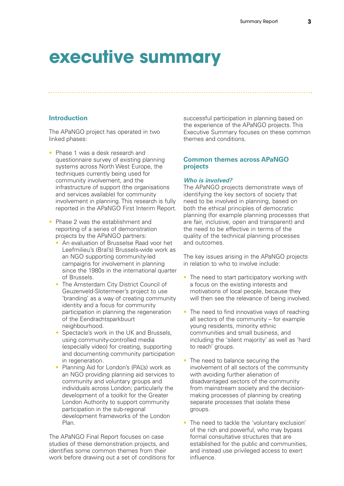## **executive summary**

#### **Introduction**

The APaNGO project has operated in two linked phases:

- Phase 1 was a desk research and questionnaire survey of existing planning systems across North West Europe, the techniques currently being used for community involvement, and the infrastructure of support (the organisations and services available) for community involvement in planning. This research is fully reported in the APaNGO First Interim Report.
- Phase 2 was the establishment and reporting of a series of demonstration projects by the APaNGO partners:
	- An evaluation of Brusselse Raad voor het Leefmilieu's (Bral's) Brussels-wide work as an NGO supporting community-led campaigns for involvement in planning since the 1980s in the international quarter of Brussels.
	- The Amsterdam City District Council of Geuzenveld-Slotermeer's project to use 'branding' as a way of creating community identity and a focus for community participation in planning the regeneration of the Eendrachtsparkbuurt neighbourhood.
	- Spectacle's work in the UK and Brussels, using community-controlled media (especially video) for creating, supporting and documenting community participation in regeneration.
	- Planning Aid for London's (PAL's) work as an NGO providing planning aid services to community and voluntary groups and individuals across London; particularly the development of a toolkit for the Greater London Authority to support community participation in the sub-regional development frameworks of the London Plan.

The APaNGO Final Report focuses on case studies of these demonstration projects, and identifies some common themes from their work before drawing out a set of conditions for successful participation in planning based on the experience of the APaNGO projects. This Executive Summary focuses on these common themes and conditions.

#### **Common themes across APaNGO projects**

#### **Who is involved?**

The APaNGO projects demonstrate ways of identifying the key sectors of society that need to be involved in planning, based on both the ethical principles of democratic planning (for example planning processes that are fair, inclusive, open and transparent) and the need to be effective in terms of the quality of the technical planning processes and outcomes.

The key issues arising in the APaNGO projects in relation to who to involve include:

- The need to start participatory working with a focus on the existing interests and motivations of local people, because they will then see the relevance of being involved.
- The need to find innovative ways of reaching all sectors of the community – for example young residents, minority ethnic communities and small business, and including the 'silent majority' as well as 'hard to reach' groups.
- The need to balance securing the involvement of all sectors of the community with avoiding further alienation of disadvantaged sectors of the community from mainstream society and the decisionmaking processes of planning by creating separate processes that isolate these groups.
- The need to tackle the 'voluntary exclusion' of the rich and powerful, who may bypass formal consultative structures that are established for the public and communities, and instead use privileged access to exert influence.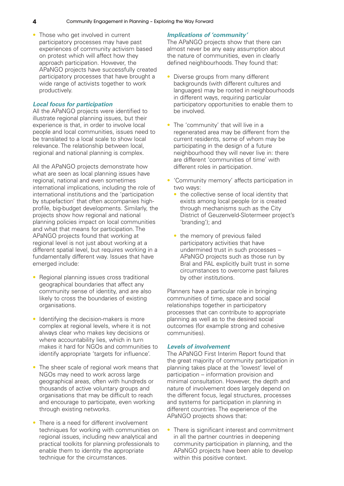• Those who get involved in current participatory processes may have past experiences of community activism based on protest which will affect how they approach participation. However, the APaNGO projects have successfully created participatory processes that have brought a wide range of activists together to work productively.

#### **Local focus for participation**

All the APaNGO projects were identified to illustrate regional planning issues, but their experience is that, in order to involve local people and local communities, issues need to be translated to a local scale to show local relevance. The relationship between local, regional and national planning is complex.

All the APaNGO projects demonstrate how what are seen as local planning issues have regional, national and even sometimes international implications, including the role of international institutions and the 'participation by stupefaction' that often accompanies highprofile, big-budget developments. Similarly, the projects show how regional and national planning policies impact on local communities and what that means for participation. The APaNGO projects found that working at regional level is not just about working at a different spatial level, but requires working in a fundamentally different way. Issues that have emerged include:

- Regional planning issues cross traditional geographical boundaries that affect any community sense of identity, and are also likely to cross the boundaries of existing organisations.
- Identifying the decision-makers is more complex at regional levels, where it is not always clear who makes key decisions or where accountability lies, which in turn makes it hard for NGOs and communities to identify appropriate 'targets for influence'.
- The sheer scale of regional work means that NGOs may need to work across large geographical areas, often with hundreds or thousands of active voluntary groups and organisations that may be difficult to reach and encourage to participate, even working through existing networks.
- There is a need for different involvement techniques for working with communities on regional issues, including new analytical and practical toolkits for planning professionals to enable them to identity the appropriate technique for the circumstances.

#### **Implications of 'community'**

The APaNGO projects show that there can almost never be any easy assumption about the nature of communities, even in clearly defined neighbourhoods. They found that:

- Diverse groups from many different backgrounds (with different cultures and languages) may be rooted in neighbourhoods in different ways, requiring particular participatory opportunities to enable them to be involved.
- The 'community' that will live in a regenerated area may be different from the current residents, some of whom may be participating in the design of a future neighbourhood they will never live in: there are different 'communities of time' with different roles in participation.
- 'Community memory' affects participation in two ways:
	- the collective sense of local identity that exists among local people (or is created through mechanisms such as the City District of Geuzenveld-Slotermeer project's 'branding'); and
	- the memory of previous failed participatory activities that have undermined trust in such processes – APaNGO projects such as those run by Bral and PAL explicitly built trust in some circumstances to overcome past failures by other institutions.

Planners have a particular role in bringing communities of time, space and social relationships together in participatory processes that can contribute to appropriate planning as well as to the desired social outcomes (for example strong and cohesive communities).

#### **Levels of involvement**

The APaNGO First Interim Report found that the great majority of community participation in planning takes place at the 'lowest' level of participation – information provision and minimal consultation. However, the depth and nature of involvement does largely depend on the different focus, legal structures, processes and systems for participation in planning in different countries. The experience of the APaNGO projects shows that:

• There is significant interest and commitment in all the partner countries in deepening community participation in planning, and the APaNGO projects have been able to develop within this positive context.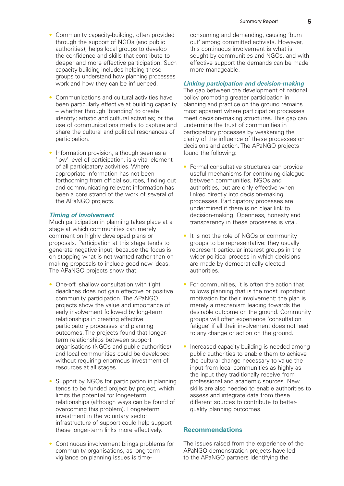- Community capacity-building, often provided through the support of NGOs (and public authorities), helps local groups to develop the confidence and skills that contribute to deeper and more effective participation. Such capacity-building includes helping these groups to understand how planning processes work and how they can be influenced.
- Communications and cultural activities have been particularly effective at building capacity – whether through 'branding' to create identity; artistic and cultural activities; or the use of communications media to capture and share the cultural and political resonances of participation.
- Information provision, although seen as a 'low' level of participation, is a vital element of all participatory activities. Where appropriate information has not been forthcoming from official sources, finding out and communicating relevant information has been a core strand of the work of several of the APaNGO projects.

#### **Timing of involvement**

Much participation in planning takes place at a stage at which communities can merely comment on highly developed plans or proposals. Participation at this stage tends to generate negative input, because the focus is on stopping what is not wanted rather than on making proposals to include good new ideas. The APaNGO projects show that:

- One-off, shallow consultation with tight deadlines does not gain effective or positive community participation. The APaNGO projects show the value and importance of early involvement followed by long-term relationships in creating effective participatory processes and planning outcomes. The projects found that longerterm relationships between support organisations (NGOs and public authorities) and local communities could be developed without requiring enormous investment of resources at all stages.
- Support by NGOs for participation in planning tends to be funded project by project, which limits the potential for longer-term relationships (although ways can be found of overcoming this problem). Longer-term investment in the voluntary sector infrastructure of support could help support these longer-term links more effectively.
- Continuous involvement brings problems for community organisations, as long-term vigilance on planning issues is time-

consuming and demanding, causing 'burn out' among committed activists. However, this continuous involvement is what is sought by communities and NGOs, and with effective support the demands can be made more manageable.

#### **Linking participation and decision-making**

The gap between the development of national policy promoting greater participation in planning and practice on the ground remains most apparent where participation processes meet decision-making structures. This gap can undermine the trust of communities in participatory processes by weakening the clarity of the influence of these processes on decisions and action. The APaNGO projects found the following:

- Formal consultative structures can provide useful mechanisms for continuing dialogue between communities, NGOs and authorities, but are only effective when linked directly into decision-making processes. Participatory processes are undermined if there is no clear link to decision-making. Openness, honesty and transparency in these processes is vital.
- It is not the role of NGOs or community groups to be representative: they usually represent particular interest groups in the wider political process in which decisions are made by democratically elected authorities.
- For communities, it is often the action that follows planning that is the most important motivation for their involvement: the plan is merely a mechanism leading towards the desirable outcome on the ground. Community groups will often experience 'consultation fatigue' if all their involvement does not lead to any change or action on the ground.
- Increased capacity-building is needed among public authorities to enable them to achieve the cultural change necessary to value the input from local communities as highly as the input they traditionally receive from professional and academic sources. New skills are also needed to enable authorities to assess and integrate data from these different sources to contribute to betterquality planning outcomes.

#### **Recommendations**

The issues raised from the experience of the APaNGO demonstration projects have led to the APaNGO partners identifying the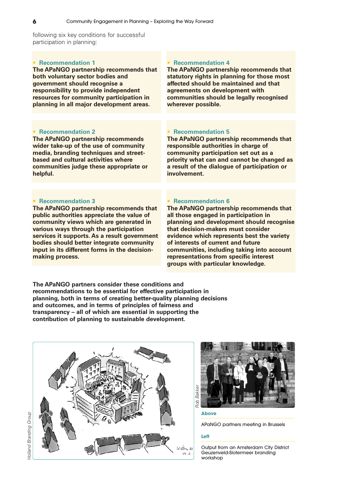following six key conditions for successful participation in planning:

#### • **Recommendation 1**

**The APaNGO partnership recommends that both voluntary sector bodies and government should recognise a responsibility to provide independent resources for community participation in planning in all major development areas.**

#### • **Recommendation 2**

**The APaNGO partnership recommends wider take-up of the use of community media, branding techniques and streetbased and cultural activities where communities judge these appropriate or helpful.**

#### • **Recommendation 3**

**The APaNGO partnership recommends that public authorities appreciate the value of community views which are generated in various ways through the participation services it supports. As a result government bodies should better integrate community input in its different forms in the decisionmaking process.**

#### • **Recommendation 4**

**The APaNGO partnership recommends that statutory rights in planning for those most affected should be maintained and that agreements on development with communities should be legally recognised wherever possible.**

#### • **Recommendation 5**

**The APaNGO partnership recommends that responsible authorities in charge of community participation set out as a priority what can and cannot be changed as a result of the dialogue of participation or involvement.**

#### • **Recommendation 6**

**The APaNGO partnership recommends that all those engaged in participation in planning and development should recognise that decision-makers must consider evidence which represents best the variety of interests of current and future communities, including taking into account representations from specific interest groups with particular knowledge.**

**The APaNGO partners consider these conditions and recommendations to be essential for effective participation in planning, both in terms of creating better-quality planning decisions and outcomes, and in terms of principles of fairness and transparency – all of which are essential in supporting the contribution of planning to sustainable development.**





#### **Above**

APaNGO partners meeting in Brussels

#### **Left**

Output from an Amsterdam City District Geuzenveld-Slotermeer branding workshop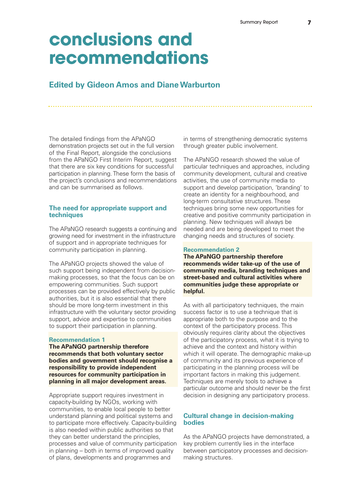# **conclusions and recommendations**

### **Edited by Gideon Amos and Diane Warburton**

The detailed findings from the APaNGO demonstration projects set out in the full version of the Final Report, alongside the conclusions from the APaNGO First Interim Report, suggest that there are six key conditions for successful participation in planning. These form the basis of the project's conclusions and recommendations and can be summarised as follows.

#### **The need for appropriate support and techniques**

The APaNGO research suggests a continuing and growing need for investment in the infrastructure of support and in appropriate techniques for community participation in planning.

The APaNGO projects showed the value of such support being independent from decisionmaking processes, so that the focus can be on empowering communities. Such support processes can be provided effectively by public authorities, but it is also essential that there should be more long-term investment in this infrastructure with the voluntary sector providing support, advice and expertise to communities to support their participation in planning.

#### **Recommendation 1**

**The APaNGO partnership therefore recommends that both voluntary sector bodies and government should recognise a responsibility to provide independent resources for community participation in planning in all major development areas.**

Appropriate support requires investment in capacity-building by NGOs, working with communities, to enable local people to better understand planning and political systems and to participate more effectively. Capacity-building is also needed within public authorities so that they can better understand the principles, processes and value of community participation in planning – both in terms of improved quality of plans, developments and programmes and

in terms of strengthening democratic systems through greater public involvement.

The APaNGO research showed the value of particular techniques and approaches, including community development, cultural and creative activities, the use of community media to support and develop participation, 'branding' to create an identity for a neighbourhood, and long-term consultative structures. These techniques bring some new opportunities for creative and positive community participation in planning. New techniques will always be needed and are being developed to meet the changing needs and structures of society.

#### **Recommendation 2**

**The APaNGO partnership therefore recommends wider take-up of the use of community media, branding techniques and street-based and cultural activities where communities judge these appropriate or helpful.**

As with all participatory techniques, the main success factor is to use a technique that is appropriate both to the purpose and to the context of the participatory process. This obviously requires clarity about the objectives of the participatory process, what it is trying to achieve and the context and history within which it will operate. The demographic make-up of community and its previous experience of participating in the planning process will be important factors in making this judgement. Techniques are merely tools to achieve a particular outcome and should never be the first decision in designing any participatory process.

#### **Cultural change in decision-making bodies**

As the APaNGO projects have demonstrated, a key problem currently lies in the interface between participatory processes and decisionmaking structures.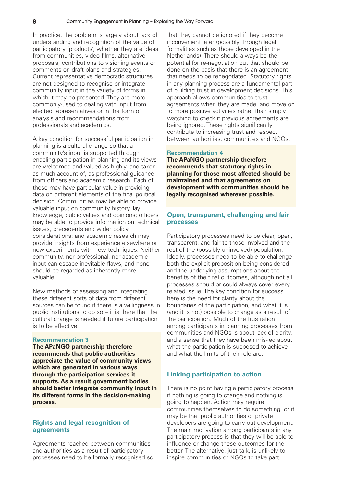In practice, the problem is largely about lack of understanding and recognition of the value of participatory 'products', whether they are ideas from communities, video films, alternative proposals, contributions to visioning events or comments on draft plans and strategies. Current representative democratic structures are not designed to recognise or integrate community input in the variety of forms in which it may be presented. They are more commonly-used to dealing with input from elected representatives or in the form of analysis and recommendations from professionals and academics.

A key condition for successful participation in planning is a cultural change so that a community's input is supported through enabling participation in planning and its views are welcomed and valued as highly, and taken as much account of, as professional guidance from officers and academic research. Each of these may have particular value in providing data on different elements of the final political decision. Communities may be able to provide valuable input on community history, lay knowledge, public values and opinions; officers may be able to provide information on technical issues, precedents and wider policy considerations; and academic research may provide insights from experience elsewhere or new experiments with new techniques. Neither community, nor professional, nor academic input can escape inevitable flaws, and none should be regarded as inherently more valuable.

New methods of assessing and integrating these different sorts of data from different sources can be found if there is a willingness in public institutions to do so – it is there that the cultural change is needed if future participation is to be effective.

#### **Recommendation 3**

**The APaNGO partnership therefore recommends that public authorities appreciate the value of community views which are generated in various ways through the participation services it supports. As a result government bodies should better integrate community input in its different forms in the decision-making process.**

#### **Rights and legal recognition of agreements**

Agreements reached between communities and authorities as a result of participatory processes need to be formally recognised so

that they cannot be ignored if they become inconvenient later (possibly through legal formalities such as those developed in the Netherlands). There should always be the potential for re-negotiation but that should be done on the basis that there is an agreement that needs to be renegotiated. Statutory rights in any planning process are a fundamental part of building trust in development decisions. This approach allows communities to trust agreements when they are made, and move on to more positive activities rather than simply watching to check if previous agreements are being ignored. These rights significantly contribute to increasing trust and respect between authorities, communities and NGOs.

#### **Recommendation 4**

**The APaNGO partnership therefore recommends that statutory rights in planning for those most affected should be maintained and that agreements on development with communities should be legally recognised wherever possible.**

#### **Open, transparent, challenging and fair processes**

Participatory processes need to be clear, open, transparent, and fair to those involved and the rest of the (possibly uninvolved) population. Ideally, processes need to be able to challenge both the explicit proposition being considered and the underlying assumptions about the benefits of the final outcomes, although not all processes should or could always cover every related issue. The key condition for success here is the need for clarity about the boundaries of the participation, and what it is (and it is not) possible to change as a result of the participation. Much of the frustration among participants in planning processes from communities and NGOs is about lack of clarity, and a sense that they have been mis-led about what the participation is supposed to achieve and what the limits of their role are.

#### **Linking participation to action**

There is no point having a participatory process if nothing is going to change and nothing is going to happen. Action may require communities themselves to do something, or it may be that public authorities or private developers are going to carry out development. The main motivation among participants in any participatory process is that they will be able to influence or change these outcomes for the better. The alternative, just talk, is unlikely to inspire communities or NGOs to take part.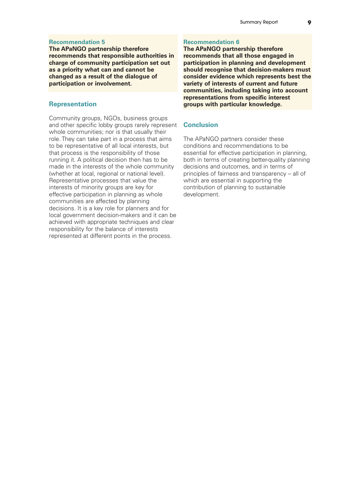#### **Recommendation 5**

**The APaNGO partnership therefore recommends that responsible authorities in charge of community participation set out as a priority what can and cannot be changed as a result of the dialogue of participation or involvement.**

#### **Representation**

Community groups, NGOs, business groups and other specific lobby groups rarely represent whole communities; nor is that usually their role. They can take part in a process that aims to be representative of all local interests, but that process is the responsibility of those running it. A political decision then has to be made in the interests of the whole community (whether at local, regional or national level). Representative processes that value the interests of minority groups are key for effective participation in planning as whole communities are affected by planning decisions. It is a key role for planners and for local government decision-makers and it can be achieved with appropriate techniques and clear responsibility for the balance of interests represented at different points in the process.

#### **Recommendation 6**

**The APaNGO partnership therefore recommends that all those engaged in participation in planning and development should recognise that decision-makers must consider evidence which represents best the variety of interests of current and future communities, including taking into account representations from specific interest groups with particular knowledge.**

#### **Conclusion**

The APaNGO partners consider these conditions and recommendations to be essential for effective participation in planning, both in terms of creating better-quality planning decisions and outcomes, and in terms of principles of fairness and transparency – all of which are essential in supporting the contribution of planning to sustainable development.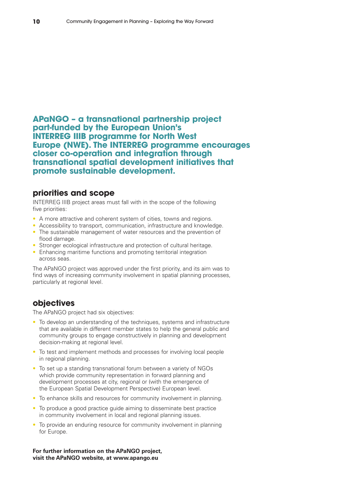**APaNGO – a transnational partnership project part-funded by the European Union's INTERREG IIIB programme for North West Europe (NWE). The INTERREG programme encourages closer co-operation and integration through transnational spatial development initiatives that promote sustainable development.**

### **priorities and scope**

INTERREG IIIB project areas must fall with in the scope of the following five priorities:

- A more attractive and coherent system of cities, towns and regions.
- Accessibility to transport, communication, infrastructure and knowledge.
- The sustainable management of water resources and the prevention of flood damage.
- Stronger ecological infrastructure and protection of cultural heritage.
- Enhancing maritime functions and promoting territorial integration across seas.

The APaNGO project was approved under the first priority, and its aim was to find ways of increasing community involvement in spatial planning processes, particularly at regional level.

### **objectives**

The APaNGO project had six objectives:

- To develop an understanding of the techniques, systems and infrastructure that are available in different member states to help the general public and community groups to engage constructively in planning and development decision-making at regional level.
- To test and implement methods and processes for involving local people in regional planning.
- To set up a standing transnational forum between a variety of NGOs which provide community representation in forward planning and development processes at city, regional or (with the emergence of the European Spatial Development Perspective) European level.
- To enhance skills and resources for community involvement in planning.
- To produce a good practice guide aiming to disseminate best practice in community involvement in local and regional planning issues.
- To provide an enduring resource for community involvement in planning for Europe.

**For further information on the APaNGO project, visit the APaNGO website, at www.apango.eu**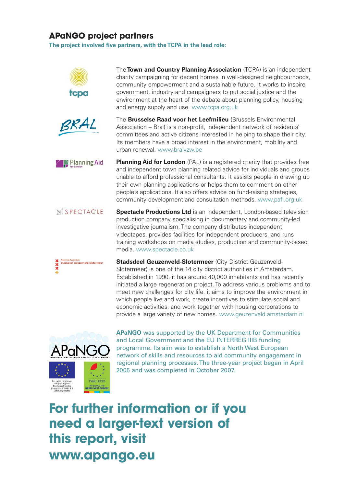## **APaNGO project partners**

**The project involved five partners, with the TCPA in the lead role:**





network of skills and resources to aid community engagement in regional planning processes. The three-year project began in April 2005 and was completed in October 2007.

**For further information or if you need a larger-text version of this report, visit www.apango.eu**